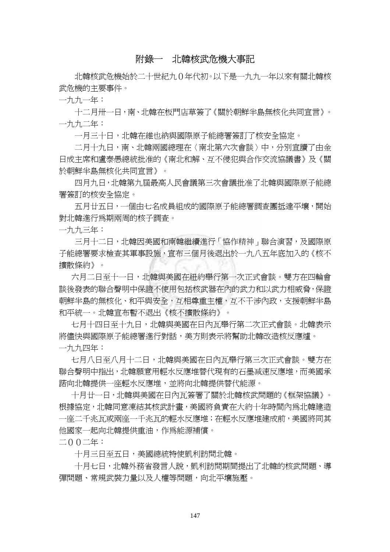#### 附錄一北韓核武危機大事記

北韓核武危機始於二十世紀九0年代初。以下是一九九一年以來有關北韓核 武危機的主要事件。

一九九一年:

十二月卅一日,南、北韓在板門店草簽了《關於朝鮮半島無核化共同宣言》。 一九九二年:

一月三十日,北韓在維也納與國際原子能總署簽訂了核安全協定。

二月十九日,南、北韓兩國總理在〈南北第六次會談〉中,分別官讀了由金 日成主席和盧泰愚總統批准的《南北和解、互不侵犯與合作交流協議書》及《關 於朝鮮半島無核化共同宣言》。

四月九日,北韓第九屆最高人民會議第三次會議批准了北韓與國際原子能總 署簽訂的核安全協定。

五月廿五日,一個由七名成員組成的國際原子能總署調查團抵達平壤,開始 對北韓進行為期兩周的核子調查。

一九九三年:

三月十二日,北韓因美國和南韓繼續淮行「協作精神」聯合演習,及國際原 子能總署要求檢查其軍事設施,宣布三個月後退出於一九八五年底加入的《核不 擴散條約》。

六月二日至十一日,北韓與美國在紐約舉行第一次正式會談。雙方在四輪會 談後發表的聯合聲明中保證不使用包括核武器在內的武力和以武力相威脅,保證 朝鮮半島的無核化、和平與安全,互相尊重主權,互不干涉內政,支援朝鮮半島 和平統一。北韓宣布暫不退出《核不擴散條約》。

七月十四日至十九日,北韓與美國在日內瓦舉行第二次正式會談。北韓表示 將儘快與國際原子能總署進行對話,美方則表示將幫助北韓改造核反應爐。 一九九四年:

七月八日至八月十二日,北韓與美國在日內瓦舉行第三次正式會談。雙方在 聯合聲明中指出,北韓願意用輕水反應堆替代現有的石墨减速反應堆,而美國承 諾向北韓提供一座輕水反應堆,並將向北韓提供替代能源。

十月廿一日,北韓與美國在日內瓦簽署了關於北韓核武問題的《框架協議》。 根據協定,北韓同意凍結其核武計畫,美國將負責在大約十年時間內為北韓建造 一座二千兆瓦或兩座一千兆瓦的輕水反應堆;在輕水反應堆建成前,美國將同其 他國家一起向北韓提供重油,作為能源補償。

二00二年:

十月三日至五日,美國總統特使凱利訪問北韓。

十月七日,北韓外務省發言人說,凱利訪問期間提出了北韓的核武問題、導 彈問題、常規武裝力量以及人權等問題,向北平壤施壓。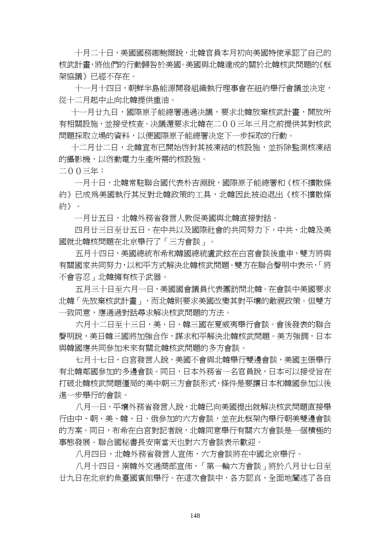十月二十日,美國國務卿鮑爾說,北韓官員本月初向美國特使承認了自己的 核武計畫,將他們的行動歸咎於美國。美國與北韓達成的關於北韓核武問題的《框 架協議》已經不存在。

十一月十四日,朝鮮半島能源開發組織執行理事會在紐約舉行會議並决定, 從十二月起中止向北韓提供重油。

十一月廿九日,國際原子能總署通過决議,要求北韓放棄核武計書,開放所 有相關設施,並接受核查。决議還要求北韓在二00三年三月之前提供其對核武 問題採取立場的資料,以便國際原子能總署决定下一步採取的行動。

十二月廿二日,北韓宣布已開始啓封其被凍結的核設施,並拆除監測核凍結 的攝影機,以啓動電力生產所需的核設施。

二00三年:

一月十日,北韓常駐聯合國代表朴吉淵說,國際原子能總署和《核不擴散條 約》已成為美國執行其反對北韓政策的工具,北韓因此被迫退出《核不擴散條 約》。

一月廿五日,北韓外務省發言人敦促美國與北韓直接對話。

四月廿三日至廿五日,在中共以及國際社會的共同努力下,中共、北韓及美 國就北韓核問題在北京舉行了「三方會談」。

五月十四日,美國總統布希和韓國總統盧武鉉在白宮會談後重申,雙方將與 有關國家共同努力,以和平方式解決北韓核武問題。雙方在聯合聲明中表示,「將 不會容忍」北韓擁有核子武器。

五月三十日至六月一日,美國國會議員代表團訪問北韓。在會談中美國要求 北韓「先放棄核武計畫」,而北韓則要求美國改變其對平壤的敵視政策。但雙方 一致同意,應通過對話尋求解决核武問題的方法。

六月十二日至十三日,美、日、韓三國在夏威夷舉行會談。會後發表的聯合 聲明說,美日韓三國將加強合作,謀求和平解決北韓核武問題。美方強調,日本 與韓國應共同參加未來有關北韓核武問題的多方會談。

七月十七日,白宮發言人說,美國不會與北韓舉行雙邊會談,美國主張舉行 有北韓鄰國參加的多邊會談。同日,日本外務省一名官員說,日本可以接受旨在 打破北韓核武問題僵局的美中朝三方會談形式,條件是要讓日本和韓國參加以後 進一步舉行的會談。

八月一日,平壤外務省發言人說,北韓已向美國提出就解决核武問題直接舉 行由中、朝、美、韓、日、俄參加的六方會談,並在此框架內舉行朝美雙邊會談 的方案。同日,布希在白宮對記者說,北韓同意舉行有關六方會談是一個積極的 事態發展。聯合國秘書長安南當天也對六方會談表示歡迎。

八月四日,北韓外務省發言人宣佈,六方會談將在中國北京舉行。

八月十四日,南韓外交通商部宣佈,「第一輪六方會談」將於八月廿七日至 廿九日在北京釣魚臺國賓館舉行。在這次會談中,各方認真、全面地闡述了各自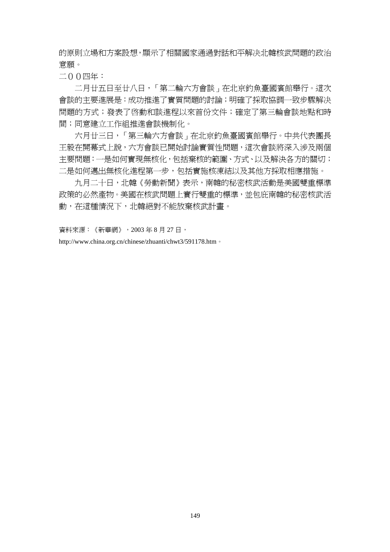的原則立場和方案設想,顯示了相關國家通過對話和平解决北韓核武問題的政治 意願。

二00四年:

二月廿五日至廿八日,「第二輪六方會談」在北京釣魚臺國賓館舉行。這次 會談的主要進展是:成功推進了實質問題的討論;明確了採取協調一致步驟解决 問題的方式;發表了啓動和談進程以來首份文件;確定了第三輪會談地點和時 間;同意建立工作組推進會談機制化。

六月廿三日,「第三輪六方會談」在北京釣魚臺國賓館舉行。中共代表團長 王毅在開幕式上說,六方會談已開始討論實質性問題,這次會談將深入涉及兩個 主要問題:一是如何實現無核化,包括棄核的範圍、方式、以及解決各方的關切; 二是如何邁出無核化進程第一步,包括實施核凍結以及其他方採取相應措施。

九月二十日,北韓《勞動新聞》表示,南韓的秘密核武活動是美國雙重標準 政策的必然產物。美國在核武問題上實行雙重的標準,並包庇南韓的秘密核武活 動,在這種情況下,北韓絕對不能放棄核武計畫。

資料來源:《新華網》,2003 年 8 月 27 日,

http://www.china.org.cn/chinese/zhuanti/chwt3/591178.htm。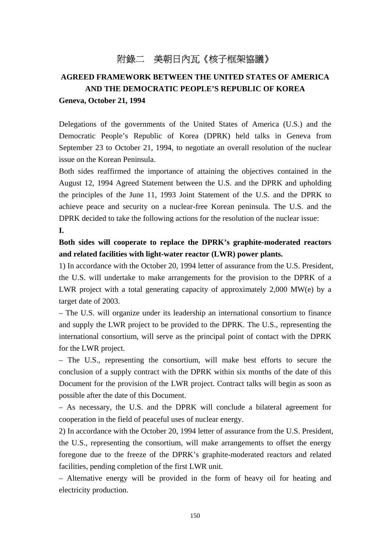# 附錄二美朝日內瓦《核子框架協議》

### **AGREED FRAMEWORK BETWEEN THE UNITED STATES OF AMERICA AND THE DEMOCRATIC PEOPLE'S REPUBLIC OF KOREA Geneva, October 21, 1994**

Delegations of the governments of the United States of America (U.S.) and the Democratic People's Republic of Korea (DPRK) held talks in Geneva from September 23 to October 21, 1994, to negotiate an overall resolution of the nuclear issue on the Korean Peninsula.

Both sides reaffirmed the importance of attaining the objectives contained in the August 12, 1994 Agreed Statement between the U.S. and the DPRK and upholding the principles of the June 11, 1993 Joint Statement of the U.S. and the DPRK to achieve peace and security on a nuclear-free Korean peninsula. The U.S. and the DPRK decided to take the following actions for the resolution of the nuclear issue:

#### **I.**

#### **Both sides will cooperate to replace the DPRK's graphite-moderated reactors and related facilities with light-water reactor (LWR) power plants.**

1) In accordance with the October 20, 1994 letter of assurance from the U.S. President, the U.S. will undertake to make arrangements for the provision to the DPRK of a LWR project with a total generating capacity of approximately 2,000 MW(e) by a target date of 2003.

– The U.S. will organize under its leadership an international consortium to finance and supply the LWR project to be provided to the DPRK. The U.S., representing the international consortium, will serve as the principal point of contact with the DPRK for the LWR project.

– The U.S., representing the consortium, will make best efforts to secure the conclusion of a supply contract with the DPRK within six months of the date of this Document for the provision of the LWR project. Contract talks will begin as soon as possible after the date of this Document.

– As necessary, the U.S. and the DPRK will conclude a bilateral agreement for cooperation in the field of peaceful uses of nuclear energy.

2) In accordance with the October 20, 1994 letter of assurance from the U.S. President, the U.S., representing the consortium, will make arrangements to offset the energy foregone due to the freeze of the DPRK's graphite-moderated reactors and related facilities, pending completion of the first LWR unit.

– Alternative energy will be provided in the form of heavy oil for heating and electricity production.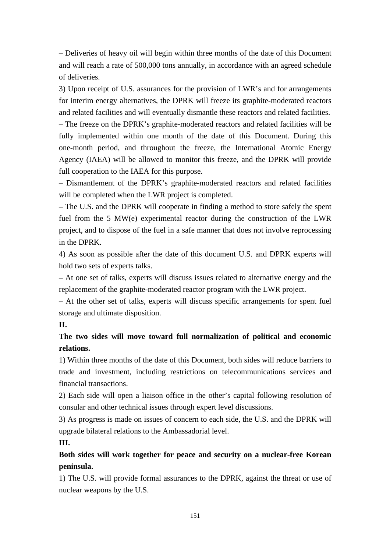– Deliveries of heavy oil will begin within three months of the date of this Document and will reach a rate of 500,000 tons annually, in accordance with an agreed schedule of deliveries.

3) Upon receipt of U.S. assurances for the provision of LWR's and for arrangements for interim energy alternatives, the DPRK will freeze its graphite-moderated reactors and related facilities and will eventually dismantle these reactors and related facilities.

– The freeze on the DPRK's graphite-moderated reactors and related facilities will be fully implemented within one month of the date of this Document. During this one-month period, and throughout the freeze, the International Atomic Energy Agency (IAEA) will be allowed to monitor this freeze, and the DPRK will provide full cooperation to the IAEA for this purpose.

– Dismantlement of the DPRK's graphite-moderated reactors and related facilities will be completed when the LWR project is completed.

– The U.S. and the DPRK will cooperate in finding a method to store safely the spent fuel from the 5 MW(e) experimental reactor during the construction of the LWR project, and to dispose of the fuel in a safe manner that does not involve reprocessing in the DPRK.

4) As soon as possible after the date of this document U.S. and DPRK experts will hold two sets of experts talks.

– At one set of talks, experts will discuss issues related to alternative energy and the replacement of the graphite-moderated reactor program with the LWR project.

– At the other set of talks, experts will discuss specific arrangements for spent fuel storage and ultimate disposition.

#### **II.**

### **The two sides will move toward full normalization of political and economic relations.**

1) Within three months of the date of this Document, both sides will reduce barriers to trade and investment, including restrictions on telecommunications services and financial transactions.

2) Each side will open a liaison office in the other's capital following resolution of consular and other technical issues through expert level discussions.

3) As progress is made on issues of concern to each side, the U.S. and the DPRK will upgrade bilateral relations to the Ambassadorial level.

#### **III.**

# **Both sides will work together for peace and security on a nuclear-free Korean peninsula.**

1) The U.S. will provide formal assurances to the DPRK, against the threat or use of nuclear weapons by the U.S.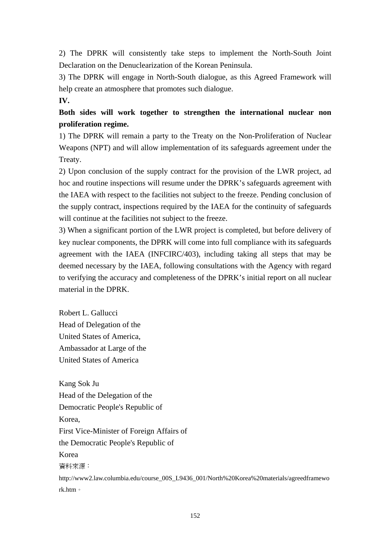2) The DPRK will consistently take steps to implement the North-South Joint Declaration on the Denuclearization of the Korean Peninsula.

3) The DPRK will engage in North-South dialogue, as this Agreed Framework will help create an atmosphere that promotes such dialogue.

**IV.**

## **Both sides will work together to strengthen the international nuclear non proliferation regime.**

1) The DPRK will remain a party to the Treaty on the Non-Proliferation of Nuclear Weapons (NPT) and will allow implementation of its safeguards agreement under the Treaty.

2) Upon conclusion of the supply contract for the provision of the LWR project, ad hoc and routine inspections will resume under the DPRK's safeguards agreement with the IAEA with respect to the facilities not subject to the freeze. Pending conclusion of the supply contract, inspections required by the IAEA for the continuity of safeguards will continue at the facilities not subject to the freeze.

3) When a significant portion of the LWR project is completed, but before delivery of key nuclear components, the DPRK will come into full compliance with its safeguards agreement with the IAEA (INFCIRC/403), including taking all steps that may be deemed necessary by the IAEA, following consultations with the Agency with regard to verifying the accuracy and completeness of the DPRK's initial report on all nuclear material in the DPRK.

Robert L. Gallucci Head of Delegation of the United States of America, Ambassador at Large of the United States of America

Kang Sok Ju Head of the Delegation of the Democratic People's Republic of Korea, First Vice-Minister of Foreign Affairs of the Democratic People's Republic of Korea 資料來源: http://www2.law.columbia.edu/course\_00S\_L9436\_001/North%20Korea%20materials/agreedframewo rk.htm。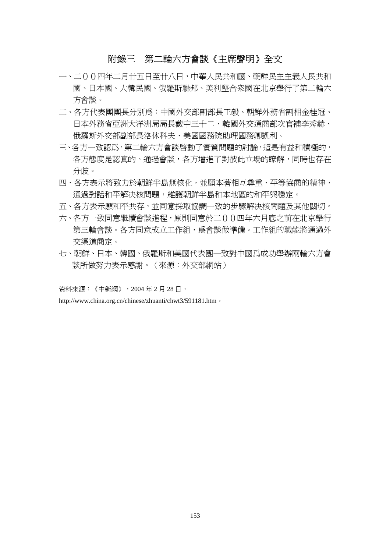## 附錄三第二輪六方會談《主席聲明》全文

- 一、二00四年二月廿五日至廿八日,中華人民共和國、朝鮮民主主義人民共和 國、日本國、大韓民國、俄羅斯聯邦、美利堅合衆國在北京舉行了第二輪六 方會談。
- 二、各方代表團團長分別爲:中國外交部副部長王毅、朝鮮外務省副相金桂冠、 日本外務省亞洲大洋洲局局長藪中三十二、韓國外交通商部次官補李秀赫、 俄羅斯外交部副部長洛休科夫、美國國務院助理國務卿凱利。
- 三、各方一致認爲,第二輪六方會談啓動了實質問題的討論,這是有益和積極的, 各方態度是認真的。通過會談,各方增進了對彼此立場的瞭解,同時也存在 分歧。
- 四、各方表示將致力於朝鮮半島無核化,並願本著相互尊重、平等協商的精神, 通過對話和平解决核問題,維護朝鮮半島和本地區的和平與穩定。
- 五、各方表示願和平共存,並同意採取協調一致的步驟解决核問題及其他關切。
- 六、各方一致同意繼續會談進程,原則同意於二00四年六月底之前在北京舉行 第三輪會談。各方同意成立工作組,爲會談做準備。工作組的職能將通過外 交渠道商定。
- 七、朝鮮、日本、韓國、俄羅斯和美國代表團一致對中國爲成功舉辦兩輪六方會 談所做努力表示感謝。(來源:外交部網站)

資料來源:《中新網》,2004 年 2 月 28 日,

http://www.china.org.cn/chinese/zhuanti/chwt3/591181.htm。